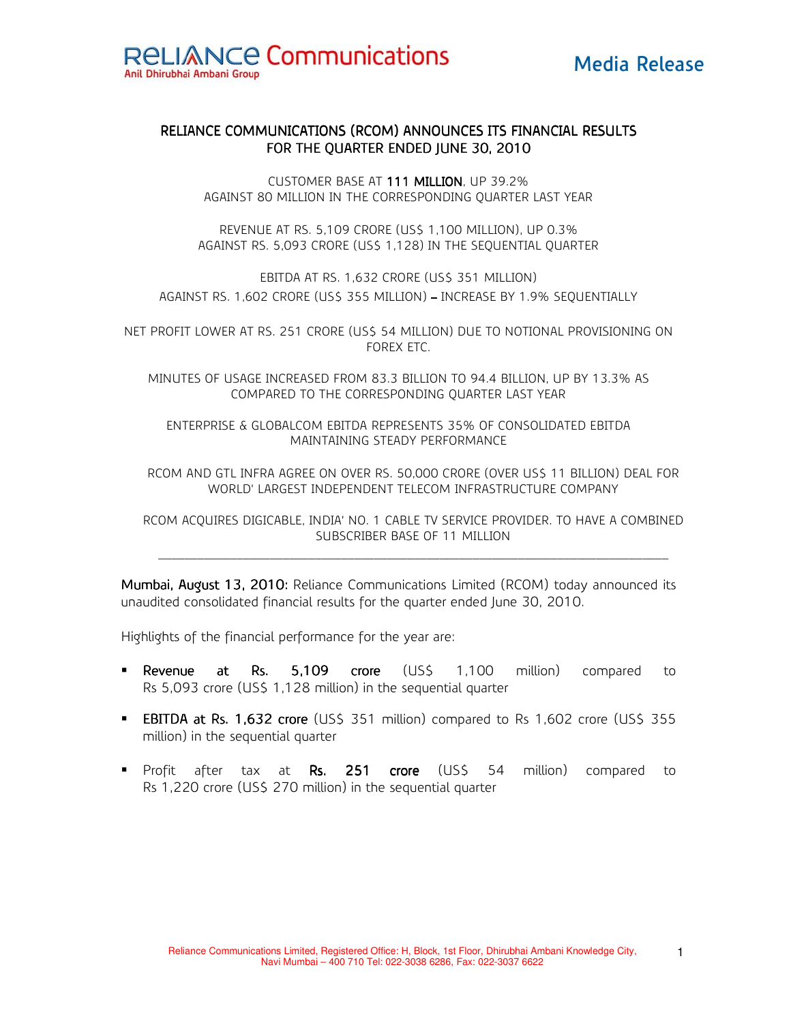

# RELIANCE COMMUNICATIONS (RCOM) ANNOUNCES ITS FINANCIAL RESULTS FOR THE QUARTER ENDED JUNE 30, 2010

CUSTOMER BASE AT 111 MILLION, UP 39.2% AGAINST 80 MILLION IN THE CORRESPONDING QUARTER LAST YEAR

REVENUE AT RS. 5,109 CRORE (US\$ 1,100 MILLION), UP 0.3% AGAINST RS. 5,093 CRORE (US\$ 1,128) IN THE SEQUENTIAL QUARTER

EBITDA AT RS. 1,632 CRORE (US\$ 351 MILLION) AGAINST RS. 1,602 CRORE (US\$ 355 MILLION) – INCREASE BY 1.9% SEQUENTIALLY

NET PROFIT LOWER AT RS. 251 CRORE (US\$ 54 MILLION) DUE TO NOTIONAL PROVISIONING ON FOREX ETC.

MINUTES OF USAGE INCREASED FROM 83.3 BILLION TO 94.4 BILLION, UP BY 13.3% AS COMPARED TO THE CORRESPONDING QUARTER LAST YEAR

ENTERPRISE & GLOBALCOM EBITDA REPRESENTS 35% OF CONSOLIDATED EBITDA MAINTAINING STEADY PERFORMANCE

RCOM AND GTL INFRA AGREE ON OVER RS. 50,000 CRORE (OVER US\$ 11 BILLION) DEAL FOR WORLD' LARGEST INDEPENDENT TELECOM INFRASTRUCTURE COMPANY

RCOM ACQUIRES DIGICABLE, INDIA' NO. 1 CABLE TV SERVICE PROVIDER. TO HAVE A COMBINED SUBSCRIBER BASE OF 11 MILLION

Mumbai, August 13, 2010: Reliance Communications Limited (RCOM) today announced its unaudited consolidated financial results for the quarter ended June 30, 2010.

Highlights of the financial performance for the year are:

- Revenue at Rs. 5,109 crore (US\$ 1,100 million) compared to Rs 5,093 crore (US\$ 1,128 million) in the sequential quarter
- **EBITDA at Rs. 1,632 crore** (US\$ 351 million) compared to Rs 1,602 crore (US\$ 355 million) in the sequential quarter
- Profit after tax at Rs. 251 crore (US\$ 54 million) compared to Rs 1,220 crore (US\$ 270 million) in the sequential quarter

1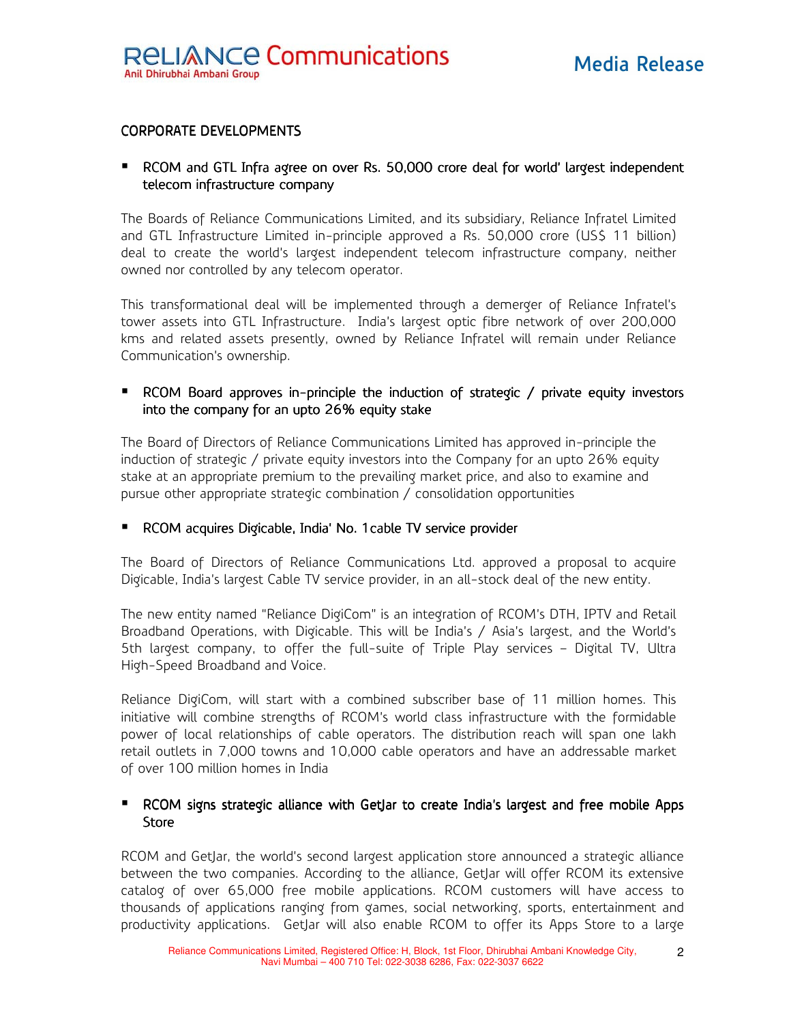# CORPORATE DEVELOPMENTS

# RCOM and GTL Infra agree on over Rs. 50,000 crore deal for world' largest independent telecom infrastructure company

The Boards of Reliance Communications Limited, and its subsidiary, Reliance Infratel Limited and GTL Infrastructure Limited in-principle approved a Rs. 50,000 crore (US\$ 11 billion) deal to create the world's largest independent telecom infrastructure company, neither owned nor controlled by any telecom operator.

This transformational deal will be implemented through a demerger of Reliance Infratel's tower assets into GTL Infrastructure. India's largest optic fibre network of over 200,000 kms and related assets presently, owned by Reliance Infratel will remain under Reliance Communication's ownership.

# **P** RCOM Board approves in-principle the induction of strategic / private equity investors into the company for an upto 26% equity stake

The Board of Directors of Reliance Communications Limited has approved in-principle the induction of strategic / private equity investors into the Company for an upto 26% equity stake at an appropriate premium to the prevailing market price, and also to examine and pursue other appropriate strategic combination / consolidation opportunities

### **RCOM acquires Digicable, India' No. 1 cable TV service provider**

The Board of Directors of Reliance Communications Ltd. approved a proposal to acquire Digicable, India's largest Cable TV service provider, in an all-stock deal of the new entity.

The new entity named "Reliance DigiCom" is an integration of RCOM's DTH, IPTV and Retail Broadband Operations, with Digicable. This will be India's / Asia's largest, and the World's 5th largest company, to offer the full-suite of Triple Play services – Digital TV, Ultra High-Speed Broadband and Voice.

Reliance DigiCom, will start with a combined subscriber base of 11 million homes. This initiative will combine strengths of RCOM's world class infrastructure with the formidable power of local relationships of cable operators. The distribution reach will span one lakh retail outlets in 7,000 towns and 10,000 cable operators and have an addressable market of over 100 million homes in India

# RCOM signs strategic alliance with GetJar to create India's largest and free mobile Apps **Store**

RCOM and GetJar, the world's second largest application store announced a strategic alliance between the two companies. According to the alliance, GetJar will offer RCOM its extensive catalog of over 65,000 free mobile applications. RCOM customers will have access to thousands of applications ranging from games, social networking, sports, entertainment and productivity applications. GetJar will also enable RCOM to offer its Apps Store to a large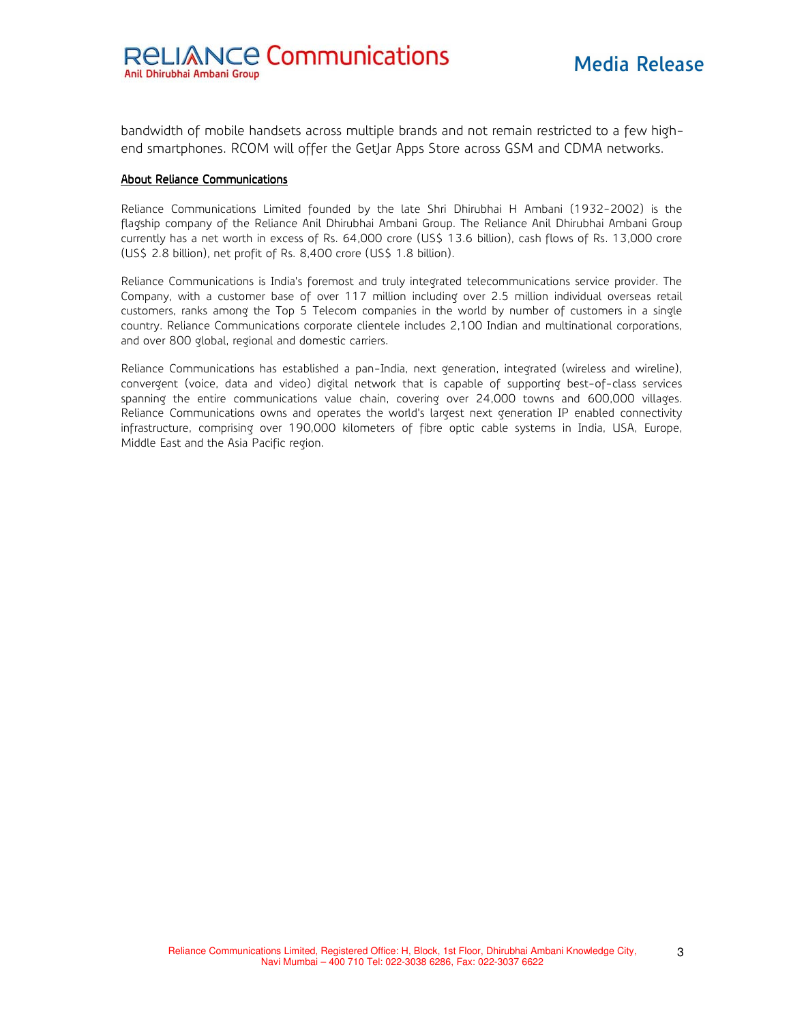bandwidth of mobile handsets across multiple brands and not remain restricted to a few highend smartphones. RCOM will offer the GetJar Apps Store across GSM and CDMA networks.

#### About Reliance Communications

Reliance Communications Limited founded by the late Shri Dhirubhai H Ambani (1932-2002) is the flagship company of the Reliance Anil Dhirubhai Ambani Group. The Reliance Anil Dhirubhai Ambani Group currently has a net worth in excess of Rs. 64,000 crore (US\$ 13.6 billion), cash flows of Rs. 13,000 crore (US\$ 2.8 billion), net profit of Rs. 8,400 crore (US\$ 1.8 billion).

Reliance Communications is India's foremost and truly integrated telecommunications service provider. The Company, with a customer base of over 117 million including over 2.5 million individual overseas retail customers, ranks among the Top 5 Telecom companies in the world by number of customers in a single country. Reliance Communications corporate clientele includes 2,100 Indian and multinational corporations, and over 800 global, regional and domestic carriers.

Reliance Communications has established a pan-India, next generation, integrated (wireless and wireline), convergent (voice, data and video) digital network that is capable of supporting best-of-class services spanning the entire communications value chain, covering over 24,000 towns and 600,000 villages. Reliance Communications owns and operates the world's largest next generation IP enabled connectivity infrastructure, comprising over 190,000 kilometers of fibre optic cable systems in India, USA, Europe, Middle East and the Asia Pacific region.

3